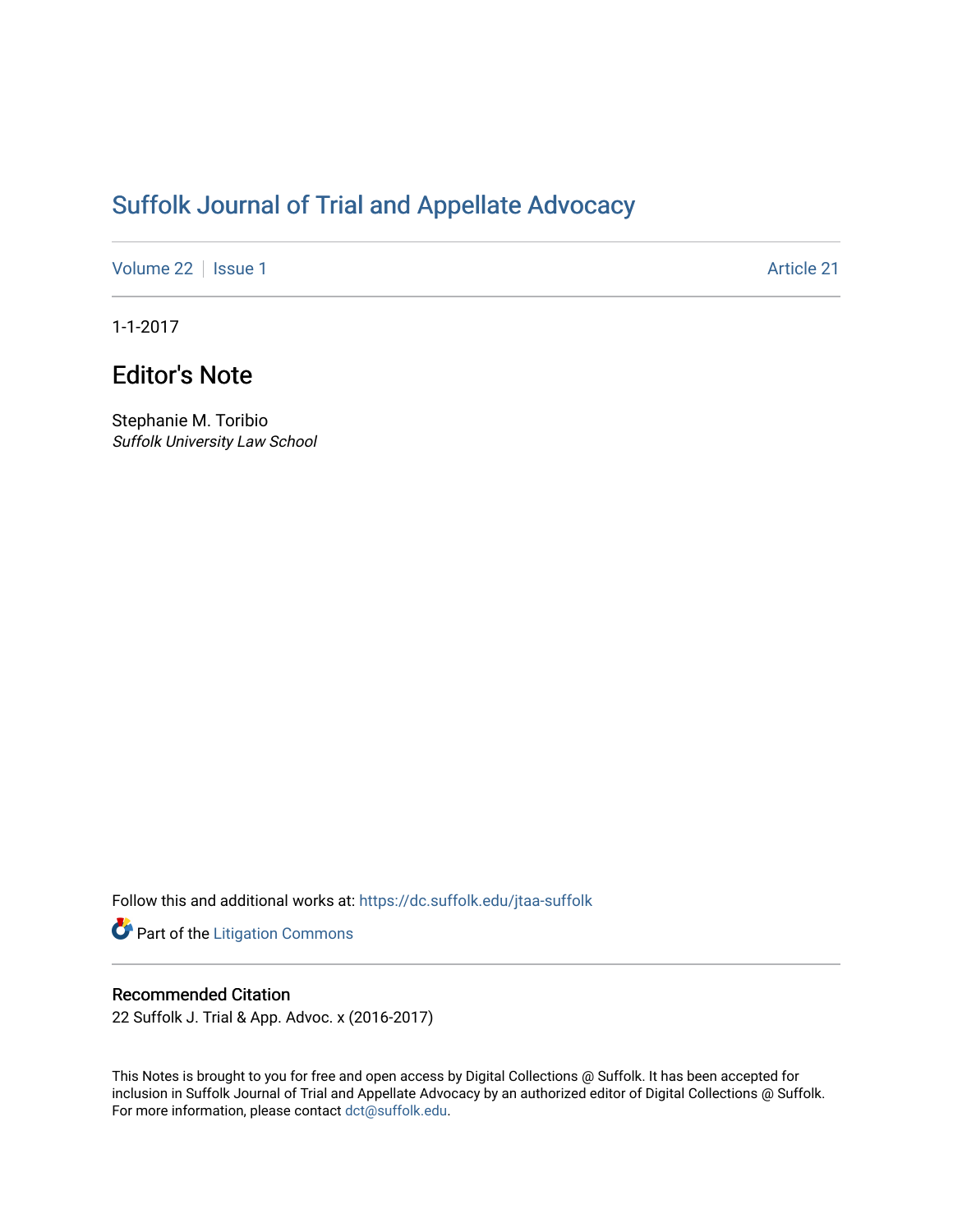# [Suffolk Journal of Trial and Appellate Advocacy](https://dc.suffolk.edu/jtaa-suffolk)

[Volume 22](https://dc.suffolk.edu/jtaa-suffolk/vol22) | [Issue 1](https://dc.suffolk.edu/jtaa-suffolk/vol22/iss1) Article 21

1-1-2017

# Editor's Note

Stephanie M. Toribio Suffolk University Law School

Follow this and additional works at: [https://dc.suffolk.edu/jtaa-suffolk](https://dc.suffolk.edu/jtaa-suffolk?utm_source=dc.suffolk.edu%2Fjtaa-suffolk%2Fvol22%2Fiss1%2F21&utm_medium=PDF&utm_campaign=PDFCoverPages) 

Part of the [Litigation Commons](https://network.bepress.com/hgg/discipline/910?utm_source=dc.suffolk.edu%2Fjtaa-suffolk%2Fvol22%2Fiss1%2F21&utm_medium=PDF&utm_campaign=PDFCoverPages)

## Recommended Citation

22 Suffolk J. Trial & App. Advoc. x (2016-2017)

This Notes is brought to you for free and open access by Digital Collections @ Suffolk. It has been accepted for inclusion in Suffolk Journal of Trial and Appellate Advocacy by an authorized editor of Digital Collections @ Suffolk. For more information, please contact [dct@suffolk.edu](mailto:dct@suffolk.edu).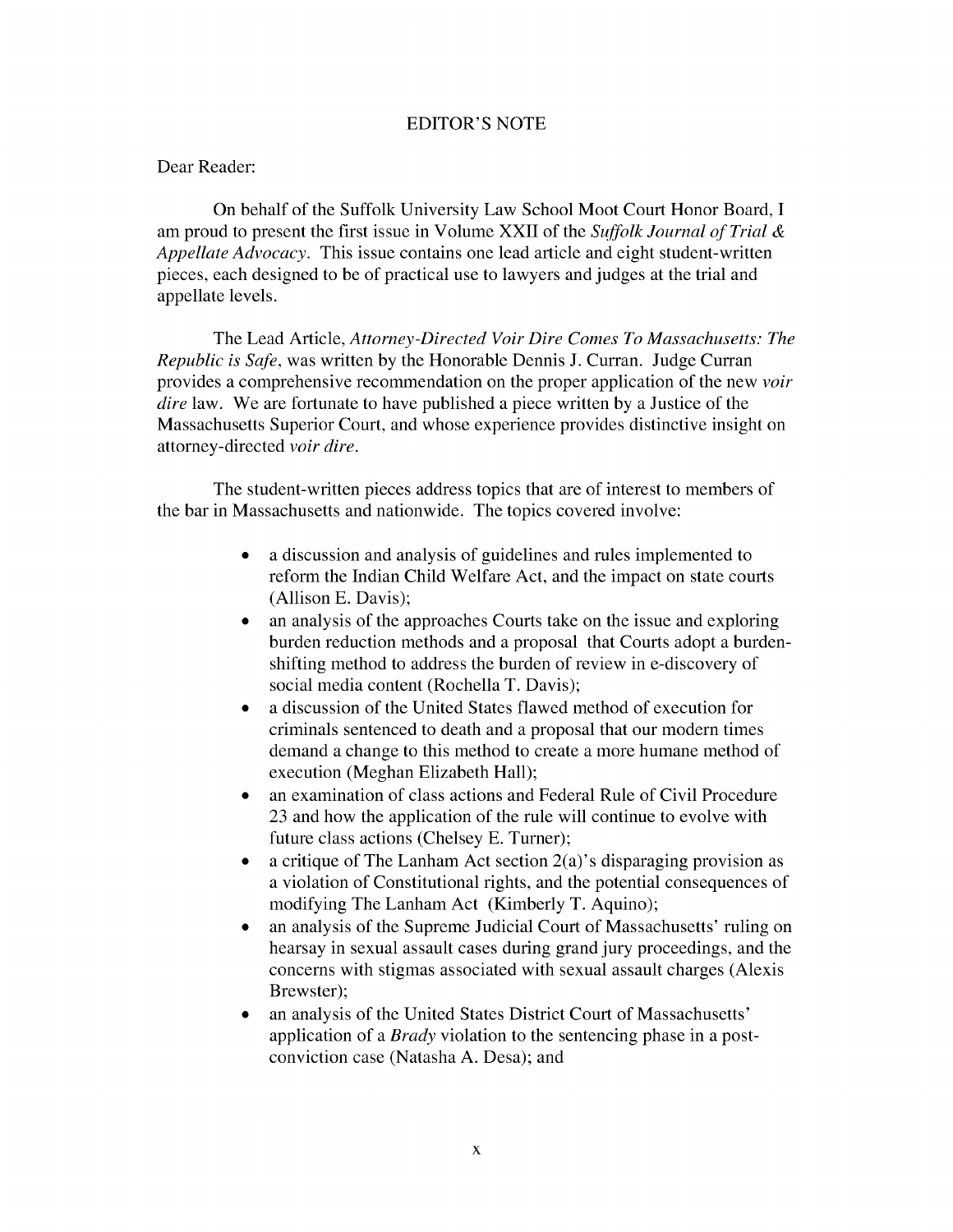#### EDITOR'S NOTE

### Dear Reader:

On behalf of the Suffolk University Law School Moot Court Honor Board, I am proud to present the first issue in Volume XXII of the *Suffolk Journal of Trial & Appellate Advocacy.* This issue contains one lead article and eight student-written pieces, each designed to be of practical use to lawyers and judges at the trial and appellate levels.

The Lead Article, *Attorney-Directed Voir Dire Comes To Massachusetts: The Republic is Safe,* was written by the Honorable Dennis J. Curran. Judge Curran provides a comprehensive recommendation on the proper application of the new *voir dire* law. We are fortunate to have published a piece written by a Justice of the Massachusetts Superior Court, and whose experience provides distinctive insight on attorney-directed *voir dire.*

The student-written pieces address topics that are of interest to members of the bar in Massachusetts and nationwide. The topics covered involve:

- a discussion and analysis of guidelines and rules implemented to reform the Indian Child Welfare Act, and the impact on state courts (Allison E. Davis);
- an analysis of the approaches Courts take on the issue and exploring burden reduction methods and a proposal that Courts adopt a burdenshifting method to address the burden of review in e-discovery of social media content (Rochella T. Davis);
- a discussion of the United States flawed method of execution for criminals sentenced to death and a proposal that our modern times demand a change to this method to create a more humane method of execution (Meghan Elizabeth Hall);
- an examination of class actions and Federal Rule of Civil Procedure 23 and how the application of the rule will continue to evolve with future class actions (Chelsey E. Turner);
- a critique of The Lanham Act section  $2(a)$ 's disparaging provision as a violation of Constitutional rights, and the potential consequences of modifying The Lanham Act (Kimberly T. Aquino);
- an analysis of the Supreme Judicial Court of Massachusetts' ruling on hearsay in sexual assault cases during grand jury proceedings, and the concerns with stigmas associated with sexual assault charges (Alexis Brewster);
- an analysis of the United States District Court of Massachusetts' application of a *Brady* violation to the sentencing phase in a postconviction case (Natasha A. Desa); and